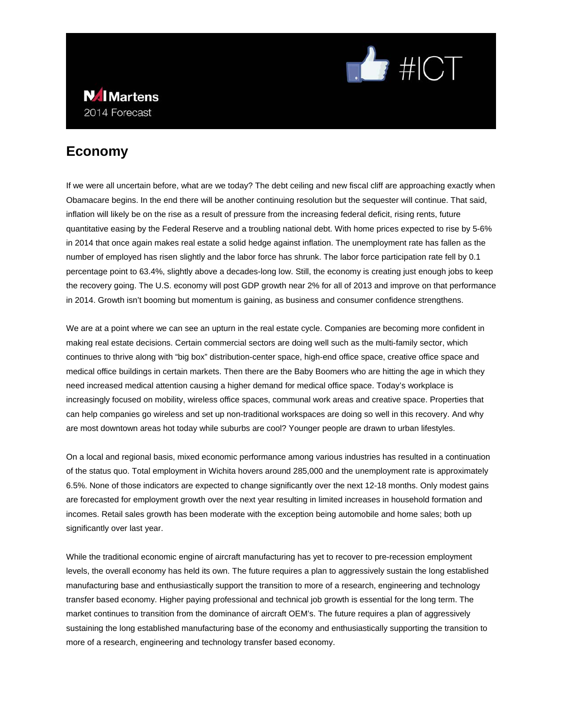

### **N**IMartens 2014 Forecast

# **Economy**

If we were all uncertain before, what are we today? The debt ceiling and new fiscal cliff are approaching exactly when Obamacare begins. In the end there will be another continuing resolution but the sequester will continue. That said, inflation will likely be on the rise as a result of pressure from the increasing federal deficit, rising rents, future quantitative easing by the Federal Reserve and a troubling national debt. With home prices expected to rise by 5-6% in 2014 that once again makes real estate a solid hedge against inflation. The unemployment rate has fallen as the number of employed has risen slightly and the labor force has shrunk. The labor force participation rate fell by 0.1 percentage point to 63.4%, slightly above a decades-long low. Still, the economy is creating just enough jobs to keep the recovery going. The U.S. economy will post GDP growth near 2% for all of 2013 and improve on that performance in 2014. Growth isn't booming but momentum is gaining, as business and consumer confidence strengthens.

We are at a point where we can see an upturn in the real estate cycle. Companies are becoming more confident in making real estate decisions. Certain commercial sectors are doing well such as the multi-family sector, which continues to thrive along with "big box" distribution-center space, high-end office space, creative office space and medical office buildings in certain markets. Then there are the Baby Boomers who are hitting the age in which they need increased medical attention causing a higher demand for medical office space. Today's workplace is increasingly focused on mobility, wireless office spaces, communal work areas and creative space. Properties that can help companies go wireless and set up non-traditional workspaces are doing so well in this recovery. And why are most downtown areas hot today while suburbs are cool? Younger people are drawn to urban lifestyles.

On a local and regional basis, mixed economic performance among various industries has resulted in a continuation of the status quo. Total employment in Wichita hovers around 285,000 and the unemployment rate is approximately 6.5%. None of those indicators are expected to change significantly over the next 12-18 months. Only modest gains are forecasted for employment growth over the next year resulting in limited increases in household formation and incomes. Retail sales growth has been moderate with the exception being automobile and home sales; both up significantly over last year.

While the traditional economic engine of aircraft manufacturing has yet to recover to pre-recession employment levels, the overall economy has held its own. The future requires a plan to aggressively sustain the long established manufacturing base and enthusiastically support the transition to more of a research, engineering and technology transfer based economy. Higher paying professional and technical job growth is essential for the long term. The market continues to transition from the dominance of aircraft OEM's. The future requires a plan of aggressively sustaining the long established manufacturing base of the economy and enthusiastically supporting the transition to more of a research, engineering and technology transfer based economy.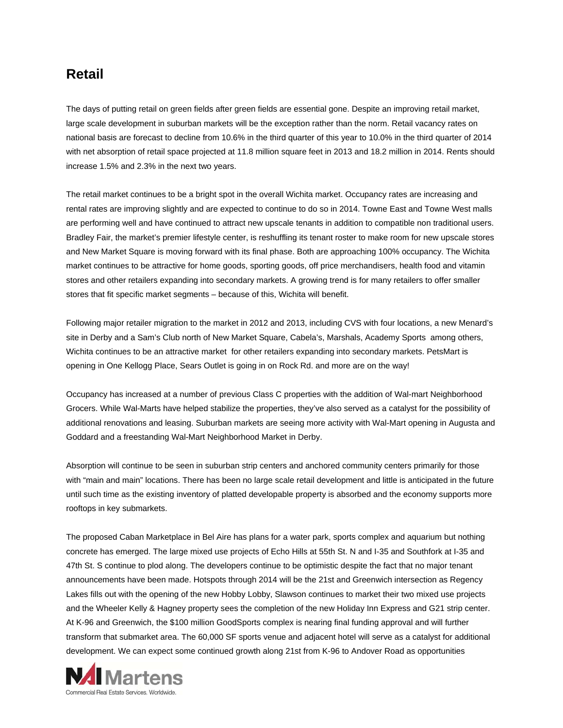### **Retail**

The days of putting retail on green fields after green fields are essential gone. Despite an improving retail market, large scale development in suburban markets will be the exception rather than the norm. Retail vacancy rates on national basis are forecast to decline from 10.6% in the third quarter of this year to 10.0% in the third quarter of 2014 with net absorption of retail space projected at 11.8 million square feet in 2013 and 18.2 million in 2014. Rents should increase 1.5% and 2.3% in the next two years.

The retail market continues to be a bright spot in the overall Wichita market. Occupancy rates are increasing and rental rates are improving slightly and are expected to continue to do so in 2014. Towne East and Towne West malls are performing well and have continued to attract new upscale tenants in addition to compatible non traditional users. Bradley Fair, the market's premier lifestyle center, is reshuffling its tenant roster to make room for new upscale stores and New Market Square is moving forward with its final phase. Both are approaching 100% occupancy. The Wichita market continues to be attractive for home goods, sporting goods, off price merchandisers, health food and vitamin stores and other retailers expanding into secondary markets. A growing trend is for many retailers to offer smaller stores that fit specific market segments – because of this, Wichita will benefit.

Following major retailer migration to the market in 2012 and 2013, including CVS with four locations, a new Menard's site in Derby and a Sam's Club north of New Market Square, Cabela's, Marshals, Academy Sports among others, Wichita continues to be an attractive market for other retailers expanding into secondary markets. PetsMart is opening in One Kellogg Place, Sears Outlet is going in on Rock Rd. and more are on the way!

Occupancy has increased at a number of previous Class C properties with the addition of Wal-mart Neighborhood Grocers. While Wal-Marts have helped stabilize the properties, they've also served as a catalyst for the possibility of additional renovations and leasing. Suburban markets are seeing more activity with Wal-Mart opening in Augusta and Goddard and a freestanding Wal-Mart Neighborhood Market in Derby.

Absorption will continue to be seen in suburban strip centers and anchored community centers primarily for those with "main and main" locations. There has been no large scale retail development and little is anticipated in the future until such time as the existing inventory of platted developable property is absorbed and the economy supports more rooftops in key submarkets.

The proposed Caban Marketplace in Bel Aire has plans for a water park, sports complex and aquarium but nothing concrete has emerged. The large mixed use projects of Echo Hills at 55th St. N and I-35 and Southfork at I-35 and 47th St. S continue to plod along. The developers continue to be optimistic despite the fact that no major tenant announcements have been made. Hotspots through 2014 will be the 21st and Greenwich intersection as Regency Lakes fills out with the opening of the new Hobby Lobby, Slawson continues to market their two mixed use projects and the Wheeler Kelly & Hagney property sees the completion of the new Holiday Inn Express and G21 strip center. At K-96 and Greenwich, the \$100 million GoodSports complex is nearing final funding approval and will further transform that submarket area. The 60,000 SF sports venue and adjacent hotel will serve as a catalyst for additional development. We can expect some continued growth along 21st from K-96 to Andover Road as opportunities

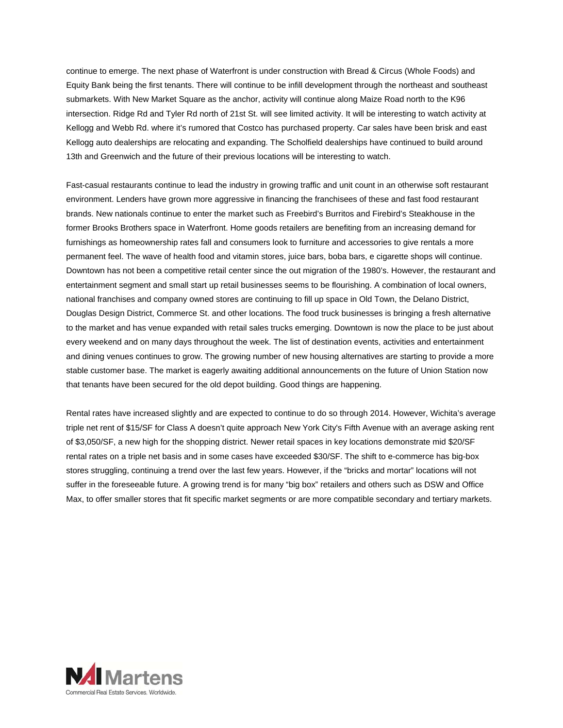continue to emerge. The next phase of Waterfront is under construction with Bread & Circus (Whole Foods) and Equity Bank being the first tenants. There will continue to be infill development through the northeast and southeast submarkets. With New Market Square as the anchor, activity will continue along Maize Road north to the K96 intersection. Ridge Rd and Tyler Rd north of 21st St. will see limited activity. It will be interesting to watch activity at Kellogg and Webb Rd. where it's rumored that Costco has purchased property. Car sales have been brisk and east Kellogg auto dealerships are relocating and expanding. The Scholfield dealerships have continued to build around 13th and Greenwich and the future of their previous locations will be interesting to watch.

Fast-casual restaurants continue to lead the industry in growing traffic and unit count in an otherwise soft restaurant environment. Lenders have grown more aggressive in financing the franchisees of these and fast food restaurant brands. New nationals continue to enter the market such as Freebird's Burritos and Firebird's Steakhouse in the former Brooks Brothers space in Waterfront. Home goods retailers are benefiting from an increasing demand for furnishings as homeownership rates fall and consumers look to furniture and accessories to give rentals a more permanent feel. The wave of health food and vitamin stores, juice bars, boba bars, e cigarette shops will continue. Downtown has not been a competitive retail center since the out migration of the 1980's. However, the restaurant and entertainment segment and small start up retail businesses seems to be flourishing. A combination of local owners, national franchises and company owned stores are continuing to fill up space in Old Town, the Delano District, Douglas Design District, Commerce St. and other locations. The food truck businesses is bringing a fresh alternative to the market and has venue expanded with retail sales trucks emerging. Downtown is now the place to be just about every weekend and on many days throughout the week. The list of destination events, activities and entertainment and dining venues continues to grow. The growing number of new housing alternatives are starting to provide a more stable customer base. The market is eagerly awaiting additional announcements on the future of Union Station now that tenants have been secured for the old depot building. Good things are happening.

Rental rates have increased slightly and are expected to continue to do so through 2014. However, Wichita's average triple net rent of \$15/SF for Class A doesn't quite approach New York City's Fifth Avenue with an average asking rent of \$3,050/SF, a new high for the shopping district. Newer retail spaces in key locations demonstrate mid \$20/SF rental rates on a triple net basis and in some cases have exceeded \$30/SF. The shift to e-commerce has big-box stores struggling, continuing a trend over the last few years. However, if the "bricks and mortar" locations will not suffer in the foreseeable future. A growing trend is for many "big box" retailers and others such as DSW and Office Max, to offer smaller stores that fit specific market segments or are more compatible secondary and tertiary markets.

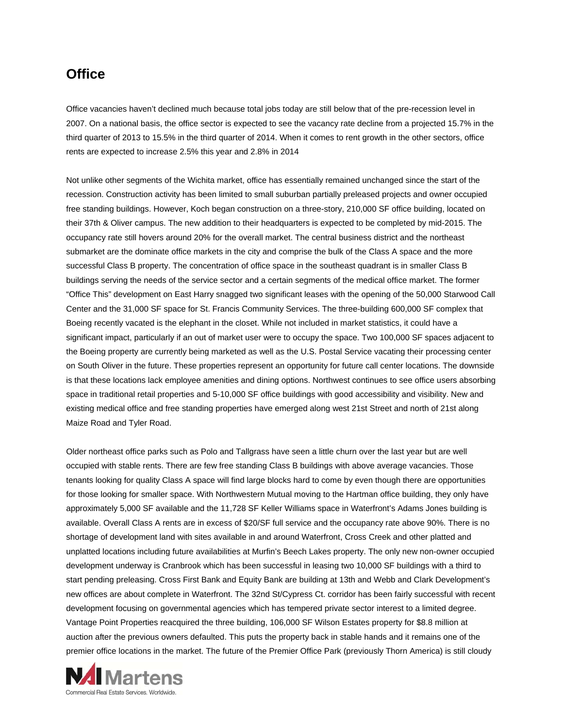### **Office**

Office vacancies haven't declined much because total jobs today are still below that of the pre-recession level in 2007. On a national basis, the office sector is expected to see the vacancy rate decline from a projected 15.7% in the third quarter of 2013 to 15.5% in the third quarter of 2014. When it comes to rent growth in the other sectors, office rents are expected to increase 2.5% this year and 2.8% in 2014

Not unlike other segments of the Wichita market, office has essentially remained unchanged since the start of the recession. Construction activity has been limited to small suburban partially preleased projects and owner occupied free standing buildings. However, Koch began construction on a three-story, 210,000 SF office building, located on their 37th & Oliver campus. The new addition to their headquarters is expected to be completed by mid-2015. The occupancy rate still hovers around 20% for the overall market. The central business district and the northeast submarket are the dominate office markets in the city and comprise the bulk of the Class A space and the more successful Class B property. The concentration of office space in the southeast quadrant is in smaller Class B buildings serving the needs of the service sector and a certain segments of the medical office market. The former "Office This" development on East Harry snagged two significant leases with the opening of the 50,000 Starwood Call Center and the 31,000 SF space for St. Francis Community Services. The three-building 600,000 SF complex that Boeing recently vacated is the elephant in the closet. While not included in market statistics, it could have a significant impact, particularly if an out of market user were to occupy the space. Two 100,000 SF spaces adjacent to the Boeing property are currently being marketed as well as the U.S. Postal Service vacating their processing center on South Oliver in the future. These properties represent an opportunity for future call center locations. The downside is that these locations lack employee amenities and dining options. Northwest continues to see office users absorbing space in traditional retail properties and 5-10,000 SF office buildings with good accessibility and visibility. New and existing medical office and free standing properties have emerged along west 21st Street and north of 21st along Maize Road and Tyler Road.

Older northeast office parks such as Polo and Tallgrass have seen a little churn over the last year but are well occupied with stable rents. There are few free standing Class B buildings with above average vacancies. Those tenants looking for quality Class A space will find large blocks hard to come by even though there are opportunities for those looking for smaller space. With Northwestern Mutual moving to the Hartman office building, they only have approximately 5,000 SF available and the 11,728 SF Keller Williams space in Waterfront's Adams Jones building is available. Overall Class A rents are in excess of \$20/SF full service and the occupancy rate above 90%. There is no shortage of development land with sites available in and around Waterfront, Cross Creek and other platted and unplatted locations including future availabilities at Murfin's Beech Lakes property. The only new non-owner occupied development underway is Cranbrook which has been successful in leasing two 10,000 SF buildings with a third to start pending preleasing. Cross First Bank and Equity Bank are building at 13th and Webb and Clark Development's new offices are about complete in Waterfront. The 32nd St/Cypress Ct. corridor has been fairly successful with recent development focusing on governmental agencies which has tempered private sector interest to a limited degree. Vantage Point Properties reacquired the three building, 106,000 SF Wilson Estates property for \$8.8 million at auction after the previous owners defaulted. This puts the property back in stable hands and it remains one of the premier office locations in the market. The future of the Premier Office Park (previously Thorn America) is still cloudy

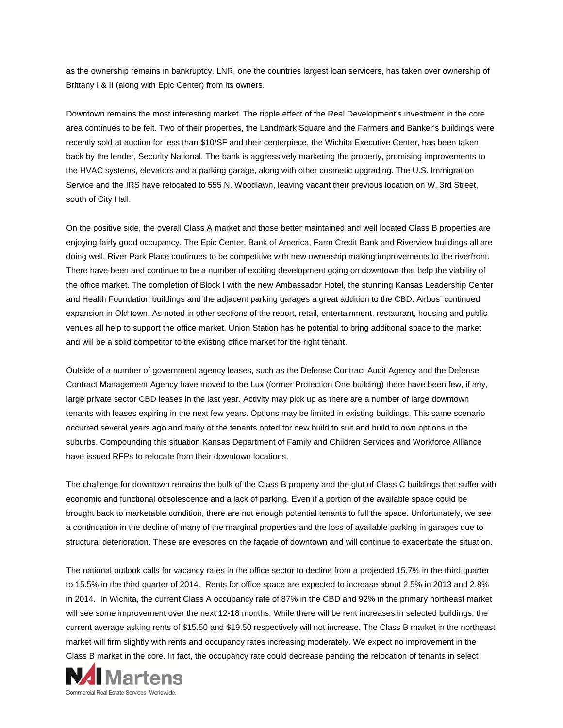as the ownership remains in bankruptcy. LNR, one the countries largest loan servicers, has taken over ownership of Brittany I & II (along with Epic Center) from its owners.

Downtown remains the most interesting market. The ripple effect of the Real Development's investment in the core area continues to be felt. Two of their properties, the Landmark Square and the Farmers and Banker's buildings were recently sold at auction for less than \$10/SF and their centerpiece, the Wichita Executive Center, has been taken back by the lender, Security National. The bank is aggressively marketing the property, promising improvements to the HVAC systems, elevators and a parking garage, along with other cosmetic upgrading. The U.S. Immigration Service and the IRS have relocated to 555 N. Woodlawn, leaving vacant their previous location on W. 3rd Street, south of City Hall.

On the positive side, the overall Class A market and those better maintained and well located Class B properties are enjoying fairly good occupancy. The Epic Center, Bank of America, Farm Credit Bank and Riverview buildings all are doing well. River Park Place continues to be competitive with new ownership making improvements to the riverfront. There have been and continue to be a number of exciting development going on downtown that help the viability of the office market. The completion of Block I with the new Ambassador Hotel, the stunning Kansas Leadership Center and Health Foundation buildings and the adjacent parking garages a great addition to the CBD. Airbus' continued expansion in Old town. As noted in other sections of the report, retail, entertainment, restaurant, housing and public venues all help to support the office market. Union Station has he potential to bring additional space to the market and will be a solid competitor to the existing office market for the right tenant.

Outside of a number of government agency leases, such as the Defense Contract Audit Agency and the Defense Contract Management Agency have moved to the Lux (former Protection One building) there have been few, if any, large private sector CBD leases in the last year. Activity may pick up as there are a number of large downtown tenants with leases expiring in the next few years. Options may be limited in existing buildings. This same scenario occurred several years ago and many of the tenants opted for new build to suit and build to own options in the suburbs. Compounding this situation Kansas Department of Family and Children Services and Workforce Alliance have issued RFPs to relocate from their downtown locations.

The challenge for downtown remains the bulk of the Class B property and the glut of Class C buildings that suffer with economic and functional obsolescence and a lack of parking. Even if a portion of the available space could be brought back to marketable condition, there are not enough potential tenants to full the space. Unfortunately, we see a continuation in the decline of many of the marginal properties and the loss of available parking in garages due to structural deterioration. These are eyesores on the façade of downtown and will continue to exacerbate the situation.

The national outlook calls for vacancy rates in the office sector to decline from a projected 15.7% in the third quarter to 15.5% in the third quarter of 2014. Rents for office space are expected to increase about 2.5% in 2013 and 2.8% in 2014. In Wichita, the current Class A occupancy rate of 87% in the CBD and 92% in the primary northeast market will see some improvement over the next 12-18 months. While there will be rent increases in selected buildings, the current average asking rents of \$15.50 and \$19.50 respectively will not increase. The Class B market in the northeast market will firm slightly with rents and occupancy rates increasing moderately. We expect no improvement in the Class B market in the core. In fact, the occupancy rate could decrease pending the relocation of tenants in select

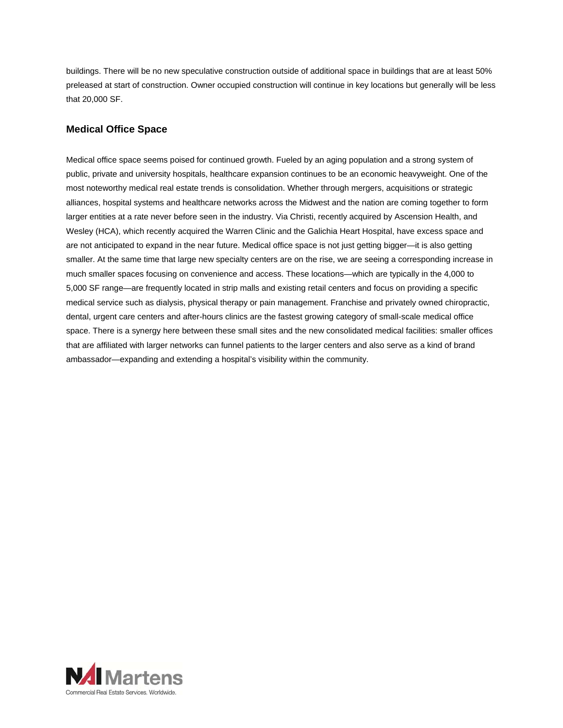buildings. There will be no new speculative construction outside of additional space in buildings that are at least 50% preleased at start of construction. Owner occupied construction will continue in key locations but generally will be less that 20,000 SF.

#### **Medical Office Space**

Medical office space seems poised for continued growth. Fueled by an aging population and a strong system of public, private and university hospitals, healthcare expansion continues to be an economic heavyweight. One of the most noteworthy medical real estate trends is consolidation. Whether through mergers, acquisitions or strategic alliances, hospital systems and healthcare networks across the Midwest and the nation are coming together to form larger entities at a rate never before seen in the industry. Via Christi, recently acquired by Ascension Health, and Wesley (HCA), which recently acquired the Warren Clinic and the Galichia Heart Hospital, have excess space and are not anticipated to expand in the near future. Medical office space is not just getting bigger—it is also getting smaller. At the same time that large new specialty centers are on the rise, we are seeing a corresponding increase in much smaller spaces focusing on convenience and access. These locations—which are typically in the 4,000 to 5,000 SF range—are frequently located in strip malls and existing retail centers and focus on providing a specific medical service such as dialysis, physical therapy or pain management. Franchise and privately owned chiropractic, dental, urgent care centers and after-hours clinics are the fastest growing category of small-scale medical office space. There is a synergy here between these small sites and the new consolidated medical facilities: smaller offices that are affiliated with larger networks can funnel patients to the larger centers and also serve as a kind of brand ambassador—expanding and extending a hospital's visibility within the community.

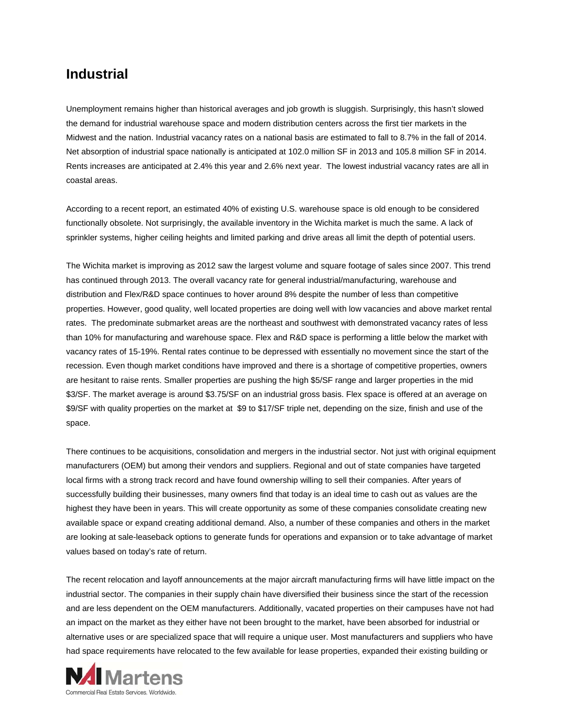## **Industrial**

Unemployment remains higher than historical averages and job growth is sluggish. Surprisingly, this hasn't slowed the demand for industrial warehouse space and modern distribution centers across the first tier markets in the Midwest and the nation. Industrial vacancy rates on a national basis are estimated to fall to 8.7% in the fall of 2014. Net absorption of industrial space nationally is anticipated at 102.0 million SF in 2013 and 105.8 million SF in 2014. Rents increases are anticipated at 2.4% this year and 2.6% next year. The lowest industrial vacancy rates are all in coastal areas.

According to a recent report, an estimated 40% of existing U.S. warehouse space is old enough to be considered functionally obsolete. Not surprisingly, the available inventory in the Wichita market is much the same. A lack of sprinkler systems, higher ceiling heights and limited parking and drive areas all limit the depth of potential users.

The Wichita market is improving as 2012 saw the largest volume and square footage of sales since 2007. This trend has continued through 2013. The overall vacancy rate for general industrial/manufacturing, warehouse and distribution and Flex/R&D space continues to hover around 8% despite the number of less than competitive properties. However, good quality, well located properties are doing well with low vacancies and above market rental rates. The predominate submarket areas are the northeast and southwest with demonstrated vacancy rates of less than 10% for manufacturing and warehouse space. Flex and R&D space is performing a little below the market with vacancy rates of 15-19%. Rental rates continue to be depressed with essentially no movement since the start of the recession. Even though market conditions have improved and there is a shortage of competitive properties, owners are hesitant to raise rents. Smaller properties are pushing the high \$5/SF range and larger properties in the mid \$3/SF. The market average is around \$3.75/SF on an industrial gross basis. Flex space is offered at an average on \$9/SF with quality properties on the market at \$9 to \$17/SF triple net, depending on the size, finish and use of the space.

There continues to be acquisitions, consolidation and mergers in the industrial sector. Not just with original equipment manufacturers (OEM) but among their vendors and suppliers. Regional and out of state companies have targeted local firms with a strong track record and have found ownership willing to sell their companies. After years of successfully building their businesses, many owners find that today is an ideal time to cash out as values are the highest they have been in years. This will create opportunity as some of these companies consolidate creating new available space or expand creating additional demand. Also, a number of these companies and others in the market are looking at sale-leaseback options to generate funds for operations and expansion or to take advantage of market values based on today's rate of return.

The recent relocation and layoff announcements at the major aircraft manufacturing firms will have little impact on the industrial sector. The companies in their supply chain have diversified their business since the start of the recession and are less dependent on the OEM manufacturers. Additionally, vacated properties on their campuses have not had an impact on the market as they either have not been brought to the market, have been absorbed for industrial or alternative uses or are specialized space that will require a unique user. Most manufacturers and suppliers who have had space requirements have relocated to the few available for lease properties, expanded their existing building or

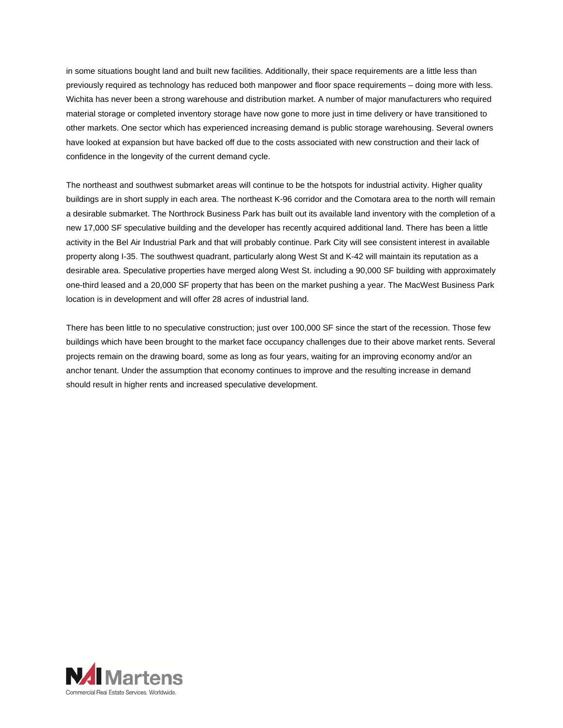in some situations bought land and built new facilities. Additionally, their space requirements are a little less than previously required as technology has reduced both manpower and floor space requirements – doing more with less. Wichita has never been a strong warehouse and distribution market. A number of major manufacturers who required material storage or completed inventory storage have now gone to more just in time delivery or have transitioned to other markets. One sector which has experienced increasing demand is public storage warehousing. Several owners have looked at expansion but have backed off due to the costs associated with new construction and their lack of confidence in the longevity of the current demand cycle.

The northeast and southwest submarket areas will continue to be the hotspots for industrial activity. Higher quality buildings are in short supply in each area. The northeast K-96 corridor and the Comotara area to the north will remain a desirable submarket. The Northrock Business Park has built out its available land inventory with the completion of a new 17,000 SF speculative building and the developer has recently acquired additional land. There has been a little activity in the Bel Air Industrial Park and that will probably continue. Park City will see consistent interest in available property along I-35. The southwest quadrant, particularly along West St and K-42 will maintain its reputation as a desirable area. Speculative properties have merged along West St. including a 90,000 SF building with approximately one-third leased and a 20,000 SF property that has been on the market pushing a year. The MacWest Business Park location is in development and will offer 28 acres of industrial land.

There has been little to no speculative construction; just over 100,000 SF since the start of the recession. Those few buildings which have been brought to the market face occupancy challenges due to their above market rents. Several projects remain on the drawing board, some as long as four years, waiting for an improving economy and/or an anchor tenant. Under the assumption that economy continues to improve and the resulting increase in demand should result in higher rents and increased speculative development.

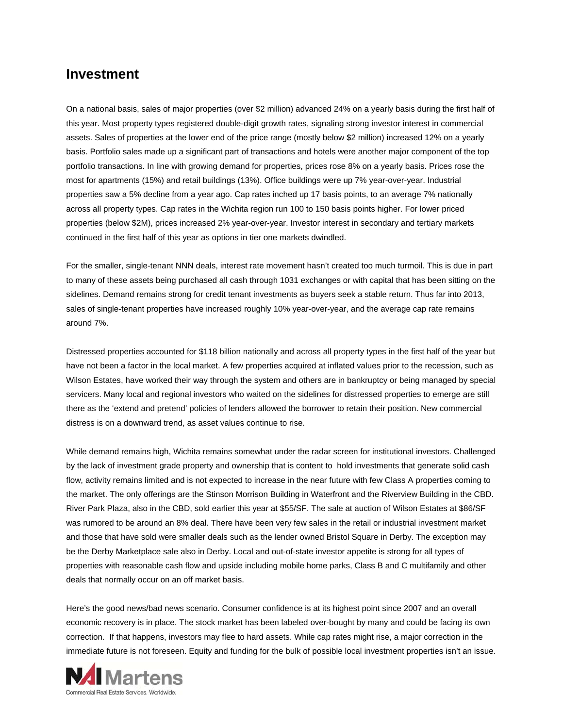#### **Investment**

On a national basis, sales of major properties (over \$2 million) advanced 24% on a yearly basis during the first half of this year. Most property types registered double-digit growth rates, signaling strong investor interest in commercial assets. Sales of properties at the lower end of the price range (mostly below \$2 million) increased 12% on a yearly basis. Portfolio sales made up a significant part of transactions and hotels were another major component of the top portfolio transactions. In line with growing demand for properties, prices rose 8% on a yearly basis. Prices rose the most for apartments (15%) and retail buildings (13%). Office buildings were up 7% year-over-year. Industrial properties saw a 5% decline from a year ago. Cap rates inched up 17 basis points, to an average 7% nationally across all property types. Cap rates in the Wichita region run 100 to 150 basis points higher. For lower priced properties (below \$2M), prices increased 2% year-over-year. Investor interest in secondary and tertiary markets continued in the first half of this year as options in tier one markets dwindled.

For the smaller, single-tenant NNN deals, interest rate movement hasn't created too much turmoil. This is due in part to many of these assets being purchased all cash through 1031 exchanges or with capital that has been sitting on the sidelines. Demand remains strong for credit tenant investments as buyers seek a stable return. Thus far into 2013, sales of single-tenant properties have increased roughly 10% year-over-year, and the average cap rate remains around 7%.

Distressed properties accounted for \$118 billion nationally and across all property types in the first half of the year but have not been a factor in the local market. A few properties acquired at inflated values prior to the recession, such as Wilson Estates, have worked their way through the system and others are in bankruptcy or being managed by special servicers. Many local and regional investors who waited on the sidelines for distressed properties to emerge are still there as the 'extend and pretend' policies of lenders allowed the borrower to retain their position. New commercial distress is on a downward trend, as asset values continue to rise.

While demand remains high, Wichita remains somewhat under the radar screen for institutional investors. Challenged by the lack of investment grade property and ownership that is content to hold investments that generate solid cash flow, activity remains limited and is not expected to increase in the near future with few Class A properties coming to the market. The only offerings are the Stinson Morrison Building in Waterfront and the Riverview Building in the CBD. River Park Plaza, also in the CBD, sold earlier this year at \$55/SF. The sale at auction of Wilson Estates at \$86/SF was rumored to be around an 8% deal. There have been very few sales in the retail or industrial investment market and those that have sold were smaller deals such as the lender owned Bristol Square in Derby. The exception may be the Derby Marketplace sale also in Derby. Local and out-of-state investor appetite is strong for all types of properties with reasonable cash flow and upside including mobile home parks, Class B and C multifamily and other deals that normally occur on an off market basis.

Here's the good news/bad news scenario. Consumer confidence is at its highest point since 2007 and an overall economic recovery is in place. The stock market has been labeled over-bought by many and could be facing its own correction. If that happens, investors may flee to hard assets. While cap rates might rise, a major correction in the immediate future is not foreseen. Equity and funding for the bulk of possible local investment properties isn't an issue.

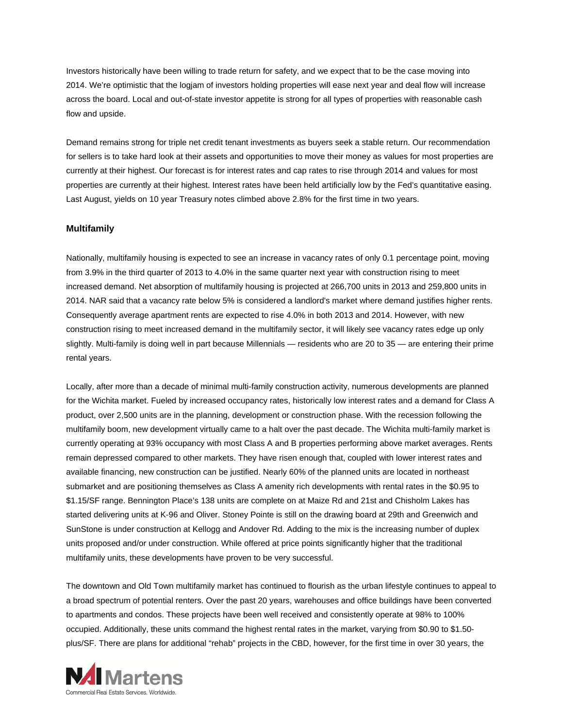Investors historically have been willing to trade return for safety, and we expect that to be the case moving into 2014. We're optimistic that the logjam of investors holding properties will ease next year and deal flow will increase across the board. Local and out-of-state investor appetite is strong for all types of properties with reasonable cash flow and upside.

Demand remains strong for triple net credit tenant investments as buyers seek a stable return. Our recommendation for sellers is to take hard look at their assets and opportunities to move their money as values for most properties are currently at their highest. Our forecast is for interest rates and cap rates to rise through 2014 and values for most properties are currently at their highest. Interest rates have been held artificially low by the Fed's quantitative easing. Last August, yields on 10 year Treasury notes climbed above 2.8% for the first time in two years.

#### **Multifamily**

Nationally, multifamily housing is expected to see an increase in vacancy rates of only 0.1 percentage point, moving from 3.9% in the third quarter of 2013 to 4.0% in the same quarter next year with construction rising to meet increased demand. Net absorption of multifamily housing is projected at 266,700 units in 2013 and 259,800 units in 2014. NAR said that a vacancy rate below 5% is considered a landlord's market where demand justifies higher rents. Consequently average apartment rents are expected to rise 4.0% in both 2013 and 2014. However, with new construction rising to meet increased demand in the multifamily sector, it will likely see vacancy rates edge up only slightly. Multi-family is doing well in part because Millennials — residents who are 20 to 35 — are entering their prime rental years.

Locally, after more than a decade of minimal multi-family construction activity, numerous developments are planned for the Wichita market. Fueled by increased occupancy rates, historically low interest rates and a demand for Class A product, over 2,500 units are in the planning, development or construction phase. With the recession following the multifamily boom, new development virtually came to a halt over the past decade. The Wichita multi-family market is currently operating at 93% occupancy with most Class A and B properties performing above market averages. Rents remain depressed compared to other markets. They have risen enough that, coupled with lower interest rates and available financing, new construction can be justified. Nearly 60% of the planned units are located in northeast submarket and are positioning themselves as Class A amenity rich developments with rental rates in the \$0.95 to \$1.15/SF range. Bennington Place's 138 units are complete on at Maize Rd and 21st and Chisholm Lakes has started delivering units at K-96 and Oliver. Stoney Pointe is still on the drawing board at 29th and Greenwich and SunStone is under construction at Kellogg and Andover Rd. Adding to the mix is the increasing number of duplex units proposed and/or under construction. While offered at price points significantly higher that the traditional multifamily units, these developments have proven to be very successful.

The downtown and Old Town multifamily market has continued to flourish as the urban lifestyle continues to appeal to a broad spectrum of potential renters. Over the past 20 years, warehouses and office buildings have been converted to apartments and condos. These projects have been well received and consistently operate at 98% to 100% occupied. Additionally, these units command the highest rental rates in the market, varying from \$0.90 to \$1.50 plus/SF. There are plans for additional "rehab" projects in the CBD, however, for the first time in over 30 years, the

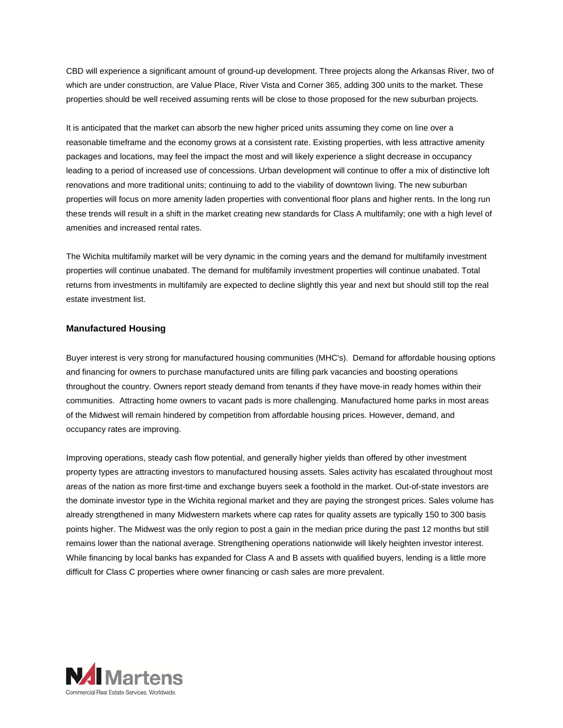CBD will experience a significant amount of ground-up development. Three projects along the Arkansas River, two of which are under construction, are Value Place, River Vista and Corner 365, adding 300 units to the market. These properties should be well received assuming rents will be close to those proposed for the new suburban projects.

It is anticipated that the market can absorb the new higher priced units assuming they come on line over a reasonable timeframe and the economy grows at a consistent rate. Existing properties, with less attractive amenity packages and locations, may feel the impact the most and will likely experience a slight decrease in occupancy leading to a period of increased use of concessions. Urban development will continue to offer a mix of distinctive loft renovations and more traditional units; continuing to add to the viability of downtown living. The new suburban properties will focus on more amenity laden properties with conventional floor plans and higher rents. In the long run these trends will result in a shift in the market creating new standards for Class A multifamily; one with a high level of amenities and increased rental rates.

The Wichita multifamily market will be very dynamic in the coming years and the demand for multifamily investment properties will continue unabated. The demand for multifamily investment properties will continue unabated. Total returns from investments in multifamily are expected to decline slightly this year and next but should still top the real estate investment list.

#### **Manufactured Housing**

Buyer interest is very strong for manufactured housing communities (MHC's). Demand for affordable housing options and financing for owners to purchase manufactured units are filling park vacancies and boosting operations throughout the country. Owners report steady demand from tenants if they have move-in ready homes within their communities. Attracting home owners to vacant pads is more challenging. Manufactured home parks in most areas of the Midwest will remain hindered by competition from affordable housing prices. However, demand, and occupancy rates are improving.

Improving operations, steady cash flow potential, and generally higher yields than offered by other investment property types are attracting investors to manufactured housing assets. Sales activity has escalated throughout most areas of the nation as more first-time and exchange buyers seek a foothold in the market. Out-of-state investors are the dominate investor type in the Wichita regional market and they are paying the strongest prices. Sales volume has already strengthened in many Midwestern markets where cap rates for quality assets are typically 150 to 300 basis points higher. The Midwest was the only region to post a gain in the median price during the past 12 months but still remains lower than the national average. Strengthening operations nationwide will likely heighten investor interest. While financing by local banks has expanded for Class A and B assets with qualified buyers, lending is a little more difficult for Class C properties where owner financing or cash sales are more prevalent.